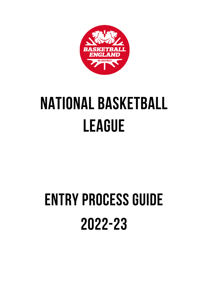

# **NATIONAL BASKETBALL LEAGUE**

# **ENTRY PROCESS GUIDE** 2022-23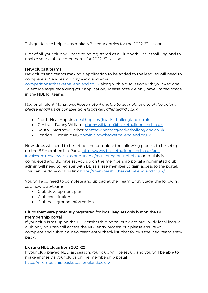This guide is to help clubs make NBL team entries for the 2022-23 season.

First of all, your club will need to be registered as a Club with Basketball England to enable your club to enter teams for 2022-23 season.

### New clubs & teams

New clubs and teams making a application to be added to the leagues will need to complete a 'New Team Entry Pack' and email to

[competitions@basketballengland.co.uk](mailto:competitions@basketballengland.co.uk) along with a discussion with your Regional Talent Manager regarding your application. Please note we only have limited space in the NBL for teams.

Regional Talent Managers-*Please note if unable to get hold of one of the below, please email us at competitions@basketballengland.co.uk*

- North-Neal Hopkins [neal.hopkins@basketballengland.co.uk](mailto:neal.hopkins@basketballengland.co.uk)
- Central Danny Williams [danny.williams@basketballengland.co.uk](mailto:danny.williams@basketballengland.co.uk)
- South Matthew Harber [matthew.harber@basketballengland.co.uk](mailto:matthew.harber@basketballengland.co.uk)
- London Dominic NG [dominic.ng@basketballengland.co.uk](mailto:dominic.ng@basketballengland.co.uk)

New clubs will need to be set up and complete the following process to be set up on the BE membership Portal [https://www.basketballengland.co.uk/get](https://www.basketballengland.co.uk/get-involved/clubs/new-clubs-and-teams/registering-an-nbl-club/)[involved/clubs/new-clubs-and-teams/registering-an-nbl-club/](https://www.basketballengland.co.uk/get-involved/clubs/new-clubs-and-teams/registering-an-nbl-club/) once this is completed and BE have set you up on the membership portal a nominated club admin will need to register with BE as a free member to gain access to the portal. This can be done on this link<https://membership.basketballengland.co.uk/>

You will also need to complete and upload at the 'Team Entry Stage' the following as a new club/team:

- Club development plan
- Club constitution
- Club background information

## Clubs that were previously registered for local leagues only but on the BE membership portal

If your club is set up on the BE Membership portal but were previously local league club only, you can still access the NBL entry process but please ensure you complete and submit a 'new team entry check list' that follows the 'new team entry pack'.

# Existing NBL clubs from 2021-22

If your club played NBL last season, your club will be set up and you will be able to make entries via your club's online membership portal <https://membership.basketballengland.co.uk/>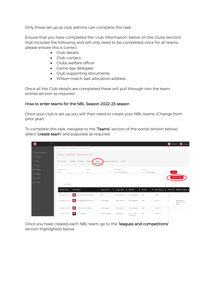Only those set up as club admins can complete this task.

Ensure that you have completed the 'club Information' below (in the Clubs section) that includes the following and will only need to be completed once for all teams, please ensure this is correct:

- Club details
- Club contact
- Clubs welfare officer
- Game day delegate
- Club supporting documents
- Wilson match ball allocation address

Once all the Club details are completed these will pull through into the team entries section as required.

### How to enter teams for the NBL Season 2022-23 season

Once your club is set up you will then need to create your NBL teams. (Change from prior year).

To complete this task, navigate to the 'Teams' section of the portal (shown below), select 'create team' and populate as required.

| 纂                 | $\equiv$ |                                                                                             |                              |                                 |                     |                      |                              |                      |                            | <b>W</b> Feedback    | Dave Owen                                        |  |  |  |
|-------------------|----------|---------------------------------------------------------------------------------------------|------------------------------|---------------------------------|---------------------|----------------------|------------------------------|----------------------|----------------------------|----------------------|--------------------------------------------------|--|--|--|
|                   |          | Admin Dashboard · Manage Clubs · Club Overview                                              |                              |                                 |                     |                      |                              |                      |                            |                      |                                                  |  |  |  |
| Admin Dashboard   |          | CA0000 - Basketball England Test Club                                                       |                              |                                 |                     |                      |                              |                      |                            |                      |                                                  |  |  |  |
| $\otimes$ Members |          |                                                                                             |                              |                                 |                     |                      |                              |                      |                            |                      |                                                  |  |  |  |
| $\Box$ Clubs      |          | Licence(s) Finances<br>eagues & Competitions<br>Club Overview<br>Memberg<br>Venues<br>Teams |                              |                                 |                     |                      |                              |                      |                            |                      |                                                  |  |  |  |
| $@$ Venues        |          |                                                                                             |                              |                                 |                     |                      |                              |                      |                            |                      |                                                  |  |  |  |
| $E$ Finances      |          | League Level                                                                                |                              | Gender                          |                     | Age Category         |                              | <b>Division</b>      |                            |                      |                                                  |  |  |  |
| <b>Admins</b>     |          | Any                                                                                         | $\checkmark$                 | Any                             | $\checkmark$        | Any / Not applicable | $\checkmark$                 | Any / Not applicable |                            | LOAD<br>$\checkmark$ |                                                  |  |  |  |
| <b>I</b> Reports  |          |                                                                                             |                              |                                 |                     |                      |                              |                      |                            |                      | <b>CREATE TEAM</b>                               |  |  |  |
| (2) Settings      |          | $\vee$ records<br>10 <sub>10</sub>                                                          |                              |                                 |                     |                      |                              |                      |                            |                      |                                                  |  |  |  |
|                   |          |                                                                                             |                              | ٨.                              |                     |                      |                              |                      |                            |                      |                                                  |  |  |  |
|                   |          | <b>Manage Team</b>                                                                          | <b>Team Name</b>             |                                 | <b>League Level</b> | # League Type<br>٠   | <b>Division</b><br>$\bullet$ | Gender<br>$\bullet$  | Age Category $\Rightarrow$ |                      | Players ♦ Affiliated League ♦                    |  |  |  |
|                   |          | Manage Team →                                                                               | 曇                            | <b>BBL Test Team Senior Men</b> | <b>BBL</b>          | Open (Senior)        | Not Applicable               | Men                  | Senior                     | $\circ$              |                                                  |  |  |  |
|                   |          | Manage Team →                                                                               | LL Test Team Senior Men<br>磁 |                                 | Local League        | Open (Senior)        | Not Applicable               | Men                  | Senior                     | $\mathbf{0}$         | <b>BASKETBALL</b><br><b>ENGLAND TEST</b><br>AREA |  |  |  |
|                   |          | Manage Team →                                                                               | 曇<br>LL Test Team U16 Boys   |                                 | Local League        | Open (Junior)        | Not Applicable               | Men                  | Under 16                   | $\bullet$            |                                                  |  |  |  |
|                   |          | Manage Team →                                                                               | 曙<br>NL - U18 Men            |                                 | National League     | Open (Junior)        | North West<br>Conference     | Men                  | Under 18                   | n.                   |                                                  |  |  |  |

Once you have created each NBL team, go to the 'leagues and competitions' section highlighted below.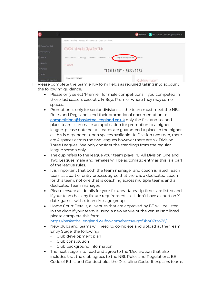| 曇<br>Ξ                 |                                                                                     | <b>W</b> Feedback | DO Club Admin - Mosquito Digital Test Club ~ |  |  |  |  |
|------------------------|-------------------------------------------------------------------------------------|-------------------|----------------------------------------------|--|--|--|--|
|                        | Manage Your Club - Leagues & Competitions - Team Entry Form                         |                   |                                              |  |  |  |  |
| Manage Your Gub        |                                                                                     |                   |                                              |  |  |  |  |
| Club Overview          | CA0000 - Mosquito Digital Test Club                                                 |                   |                                              |  |  |  |  |
| Fi Liberces            | Leagues & Competitions<br>Club Overview<br>Finances<br>Members<br>Licence(s)<br>Tea | Venues            |                                              |  |  |  |  |
| F Finances             | $-$ GO BACK                                                                         |                   |                                              |  |  |  |  |
| $%$ Members            | <b>TEAM ENTRY - 2022/2023</b>                                                       |                   |                                              |  |  |  |  |
| Teams                  |                                                                                     |                   |                                              |  |  |  |  |
| Leagues & Competitions | <b>TEAM ENTRY DETAILS</b>                                                           |                   | Club Information                             |  |  |  |  |

- 1. Please complete the team entry form fields as required taking into account the following guidance:
	- Please only select 'Premier' for male competitions if you competed in those last season, except U14 Boys Premier where they may some spaces.
	- Promotion is only for senior divisions as the team must meet the NBL Rules and Regs and send their promotional documentation to [competitions@basketballengland.co.uk](mailto:competitions@basketballengland.co.uk) only the first and second place teams can make an application for promotion to a higher league, please note not all teams are guaranteed a place in the higher as this is dependent upon spaces available. Ie Division two men, there are 4 spaces across the two leagues however there are six Division Three Leagues. We only consider the standings from the regular league season only.
	- The cup refers to the league your team plays in. All Division One and Two Leagues male and females will be automatic entry as this is a part of the league rules.
	- It is important that both the team manager and coach is listed. Each team as apart of entry process agree that there is a dedicated coach for this team, not one that is coaching across multiple teams and a dedicated Team manager.
	- Please ensure all details for your fixtures, dates, tip times are listed and if your team has any fixture requirements i.e. I don't have a court on X date, games with x team in x age group.
	- Home Court Details, all venues that are approved by BE will be listed in the drop if your team is using a new venue or the venue isn't listed please complete this form <https://basketballengland.wufoo.com/forms/wgof8bo07tzo76/>
	- New clubs and teams will need to complete and upload at the 'Team Entry Stage' the following:
		- Club development plan
		- Club constitution
		- Club background information
	- The next stage is to read and agree to the 'Declaration that also includes that the club agrees to the NBL Rules and Regulations, BE Code of Ethic and Conduct plus the Discipline Code. It explains teams